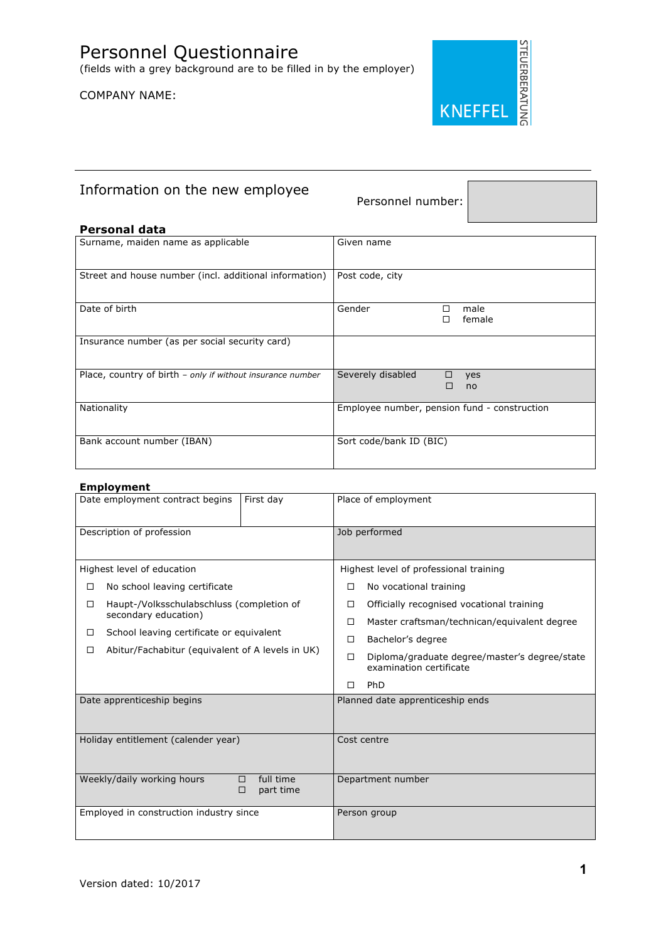

# Information on the new employee<br>Personnel number:

## **Personal data**

| Surname, maiden name as applicable                         | Given name                                   |  |  |
|------------------------------------------------------------|----------------------------------------------|--|--|
| Street and house number (incl. additional information)     | Post code, city                              |  |  |
| Date of birth                                              | Gender<br>male<br>female                     |  |  |
| Insurance number (as per social security card)             |                                              |  |  |
| Place, country of birth - only if without insurance number | Severely disabled<br>□<br>yes<br>П<br>no     |  |  |
| Nationality                                                | Employee number, pension fund - construction |  |  |
| Bank account number (IBAN)                                 | Sort code/bank ID (BIC)                      |  |  |

## **Employment**

|                                                                | Date employment contract begins           | First day     | Place of employment              |                                                                          |  |
|----------------------------------------------------------------|-------------------------------------------|---------------|----------------------------------|--------------------------------------------------------------------------|--|
| Description of profession                                      |                                           | Job performed |                                  |                                                                          |  |
|                                                                | Highest level of education                |               |                                  | Highest level of professional training                                   |  |
| □                                                              | No school leaving certificate             |               | □                                | No vocational training                                                   |  |
| □                                                              | Haupt-/Volksschulabschluss (completion of |               | □                                | Officially recognised vocational training                                |  |
|                                                                | secondary education)                      |               | □                                | Master craftsman/technican/equivalent degree                             |  |
| □                                                              | School leaving certificate or equivalent  |               |                                  | Bachelor's degree                                                        |  |
| Abitur/Fachabitur (equivalent of A levels in UK)<br>□          |                                           |               | □                                | Diploma/graduate degree/master's degree/state<br>examination certificate |  |
|                                                                |                                           |               | П                                | <b>PhD</b>                                                               |  |
|                                                                | Date apprenticeship begins                |               | Planned date apprenticeship ends |                                                                          |  |
|                                                                |                                           |               |                                  |                                                                          |  |
| Holiday entitlement (calender year)                            |                                           | Cost centre   |                                  |                                                                          |  |
|                                                                |                                           |               |                                  |                                                                          |  |
| full time<br>Weekly/daily working hours<br>□<br>part time<br>□ |                                           |               | Department number                |                                                                          |  |
| Employed in construction industry since                        |                                           |               | Person group                     |                                                                          |  |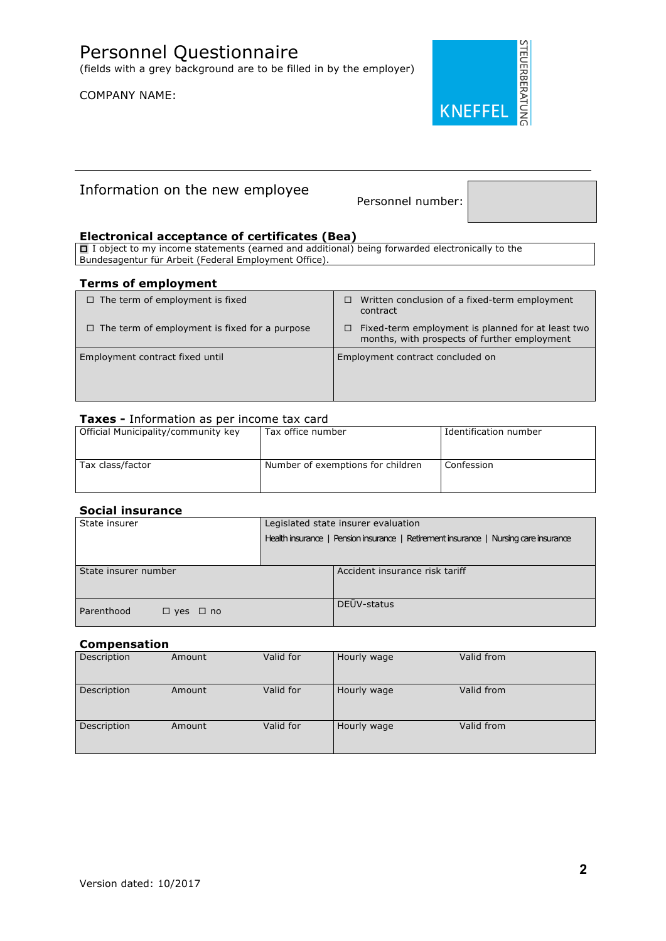

## Information on the new employee<br>Personnel number:

## **Electronical acceptance of certificates (Bea)**

 $\Box$  I object to my income statements (earned and additional) being forwarded electronically to the Bundesagentur für Arbeit (Federal Employment Office).

#### **Terms of employment**

| $\Box$ The term of employment is fixed               | Written conclusion of a fixed-term employment<br>□<br>contract                                         |
|------------------------------------------------------|--------------------------------------------------------------------------------------------------------|
| $\Box$ The term of employment is fixed for a purpose | Fixed-term employment is planned for at least two<br>□<br>months, with prospects of further employment |
| Employment contract fixed until                      | Employment contract concluded on                                                                       |

## **Taxes -** Information as per income tax card

| Official Municipality/community key | Tax office number                 | Identification number |
|-------------------------------------|-----------------------------------|-----------------------|
| Tax class/factor                    | Number of exemptions for children | Confession            |

## **Social insurance**

| State insurer                            | Legislated state insurer evaluation                                                  |  |  |
|------------------------------------------|--------------------------------------------------------------------------------------|--|--|
|                                          | Health insurance   Pension insurance   Retirement insurance   Nursing care insurance |  |  |
|                                          |                                                                                      |  |  |
| State insurer number                     | Accident insurance risk tariff                                                       |  |  |
| Parenthood<br>$\square$ yes $\square$ no | DEÜV-status                                                                          |  |  |

## **Compensation**

| Description | Amount | Valid for | Hourly wage | Valid from |  |
|-------------|--------|-----------|-------------|------------|--|
| Description | Amount | Valid for | Hourly wage | Valid from |  |
| Description | Amount | Valid for | Hourly wage | Valid from |  |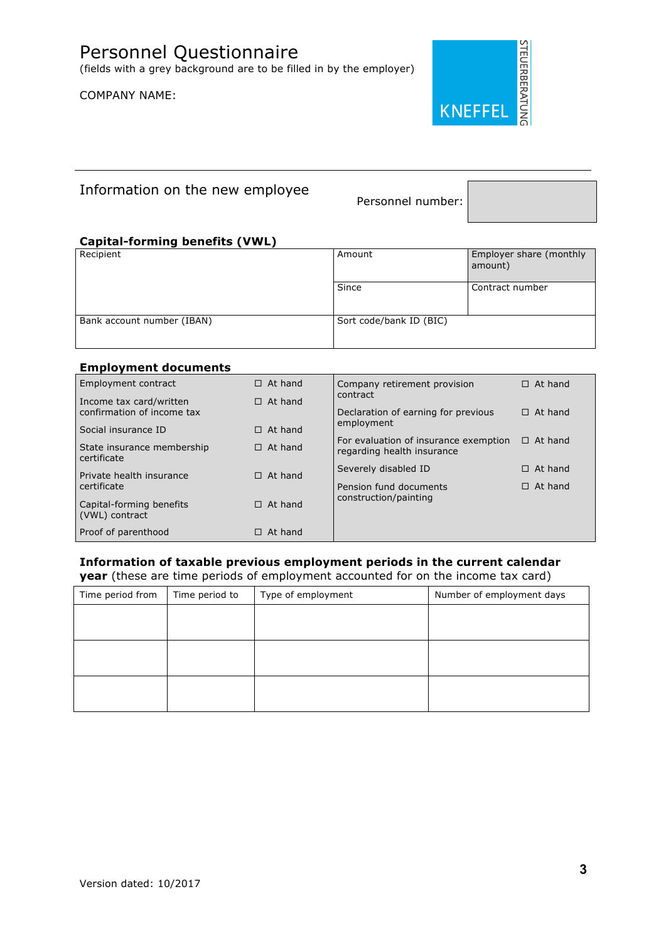

## Information on the new employee<br>Personnel number:

## **Capital-forming benefits (VWL)**

| Recipient                  | Amount                  | Employer share (monthly<br>amount) |
|----------------------------|-------------------------|------------------------------------|
|                            | Since                   | Contract number                    |
| Bank account number (IBAN) | Sort code/bank ID (BIC) |                                    |

## **Employment documents**

| Employment contract                                   | $\Box$ At hand | Company retirement provision                                        | $\Box$ At hand |
|-------------------------------------------------------|----------------|---------------------------------------------------------------------|----------------|
| Income tax card/written<br>confirmation of income tax | $\Box$ At hand | contract<br>Declaration of earning for previous                     | $\Box$ At hand |
| Social insurance ID                                   | $\Box$ At hand | employment                                                          |                |
| State insurance membership<br>certificate             | $\Box$ At hand | For evaluation of insurance exemption<br>regarding health insurance | $\Box$ At hand |
| Private health insurance                              | $\Box$ At hand | Severely disabled ID                                                | $\Box$ At hand |
| certificate                                           |                | Pension fund documents                                              | $\Box$ At hand |
| Capital-forming benefits<br>(VWL) contract            | $\Box$ At hand | construction/painting                                               |                |
| Proof of parenthood                                   | $\Box$ At hand |                                                                     |                |

## **Information of taxable previous employment periods in the current calendar year** (these are time periods of employment accounted for on the income tax card)

| Time period from | Time period to | Type of employment | Number of employment days |
|------------------|----------------|--------------------|---------------------------|
|                  |                |                    |                           |
|                  |                |                    |                           |
|                  |                |                    |                           |
|                  |                |                    |                           |
|                  |                |                    |                           |
|                  |                |                    |                           |